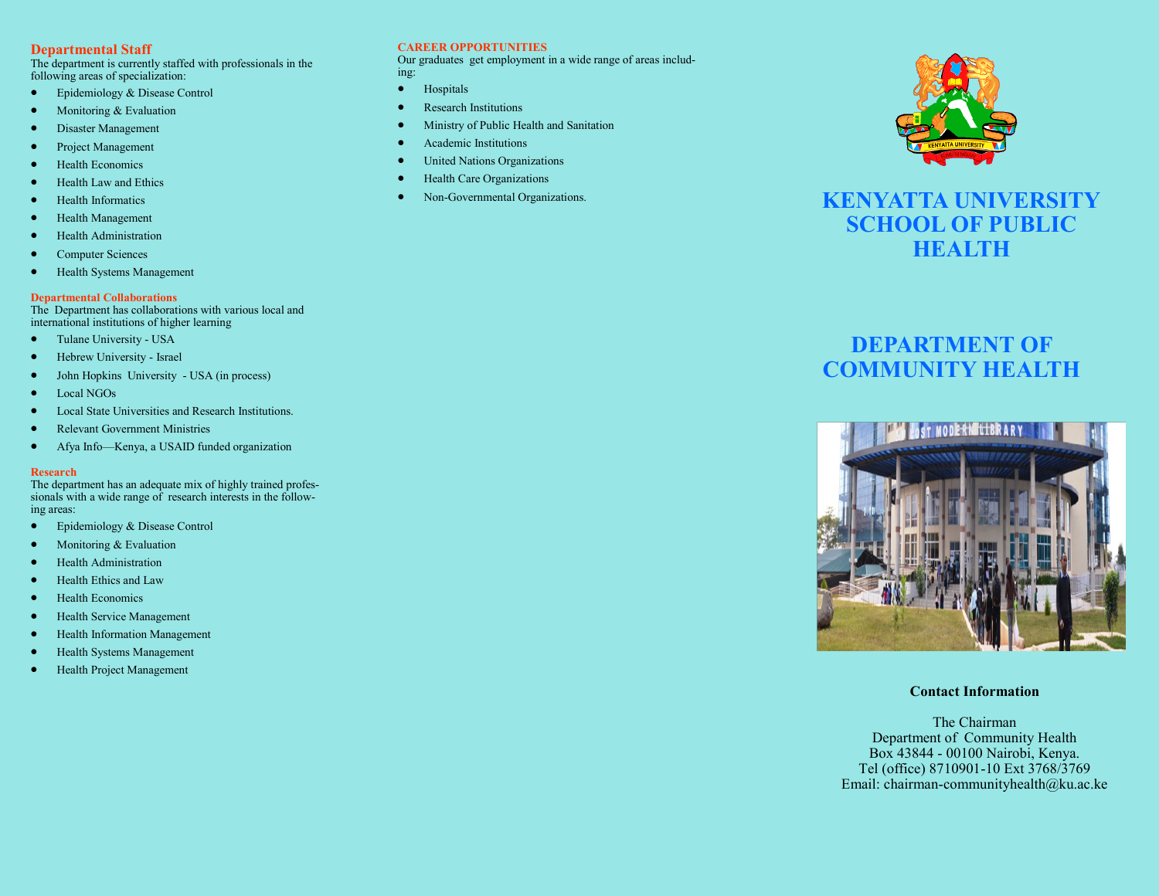## **Departmental Staff**

The department is currently staffed with professionals in the following areas of specialization:

- Epidemiology & Disease Control
- Monitoring & Evaluation
- Disaster Management
- Project Management
- **•** Health Economics
- Health Law and Ethics
- Health Informatics
- Health Management
- Health Administration
- Computer Sciences
- Health Systems Management

## **Departmental Collaborations**

The Department has collaborations with various local and international institutions of higher learning

- Tulane University USA
- Hebrew University Israel
- John Hopkins University USA (in process)
- Local NGOs
- Local State Universities and Research Institutions.
- Relevant Government Ministries
- Afya Info—Kenya, a USAID funded organization

#### **Research**

The department has an adequate mix of highly trained professionals with a wide range of research interests in the following areas:

- Epidemiology & Disease Control
- Monitoring & Evaluation
- Health Administration
- Health Ethics and Law
- Health Economics
- **•** Health Service Management
- Health Information Management
- Health Systems Management
- Health Project Management

## **CAREER OPPORTUNITIES**

Our graduates get employment in a wide range of areas including:

- Hospitals
- Research Institutions
- Ministry of Public Health and Sanitation
- Academic Institutions
- United Nations Organizations
- Health Care Organizations
- Non-Governmental Organizations.



## **KENYATTA UNIVERSITY SCHOOL OF PUBLIC HEALTH**

# **DEPARTMENT OF COMMUNITY HEALTH**



**Contact Information**

The Chairman Department of Community Health Box 43844 - 00100 Nairobi, Kenya. Tel (office) 8710901-10 Ext 3768/3769 Email: chairman-communityhealth@ku.ac.ke